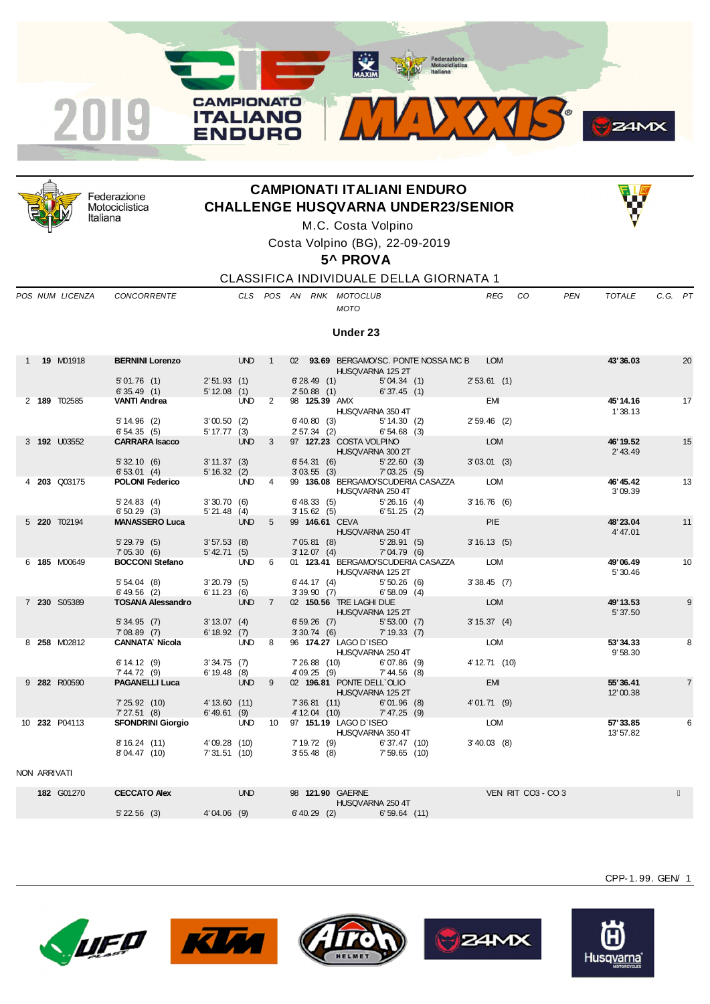



Federazione Motociclistica Italiana

## **CAMPIONATI ITALIANI ENDURO CHALLENGE HUSQVARNA UNDER23/SENIOR**



M.C. Costa Volpino

Costa Volpino (BG), 22-09-2019

**5^ PROVA**

CLASSIFICA INDIVIDUALE DELLA GIORNATA 1

*POS NUM LICENZA CONCORRENTE CLS POS AN RNK MOTOCLUB REG CO PEN TOTALE C.G. PT*

## *MOTO*

**Under 23**

|              | 1 <b>19 M01918</b> | BERNINI Lorenzo UND 1 02 93.69 BERGAMO/SC. PONTE NOSSA MC B LOM |                       |                            |                          | HUSQVARNA 125 2T                                                         |               | 43'36.03               | 20             |
|--------------|--------------------|-----------------------------------------------------------------|-----------------------|----------------------------|--------------------------|--------------------------------------------------------------------------|---------------|------------------------|----------------|
|              |                    | 5'01.76 (1) 2'51.93 (1)                                         |                       |                            | 6'28.49(1)               | 5'04.34(1)                                                               | 2'53.61(1)    |                        |                |
|              |                    | $6'35.49$ (1) $5'12.08$ (1)                                     |                       |                            |                          | 2' 50.88 (1) 6' 37.45 (1)                                                |               |                        |                |
|              | 2 189 T02585       | <b>VANTI Andrea</b>                                             | <b>UND</b>            | $\overline{\phantom{0}}$ 2 |                          | 98 <b>125.39</b> AMX<br>HUSQVARNA 350 4T                                 | <b>EMI</b>    | 45' 14.16<br>1'38.13   | 17             |
|              |                    | 5' 14.96 (2) 3' 00.50 (2)<br>6'54.35(5)                         | $5' 17.77$ (3)        |                            |                          | 6' 40.80 (3) 5' 14.30 (2)<br>2' 57.34 (2) 6' 54.68 (3)                   | $2'59.46$ (2) |                        |                |
|              | 3 192 U03552       | <b>CARRARA Isacco</b>                                           | UND <sub>3</sub>      |                            | <b>Contract Contract</b> | 97 127.23 COSTA VOLPINO<br>HUSQVARNA 300 2T                              | LOM           | 46' 19.52<br>2' 43.49  | 15             |
|              |                    | 5' 32.10 (6) 3' 11.37 (3)<br>6' 53.01 (4) 5' 16.32 (2)          |                       |                            | 6'54.31(6)               | 5'22.60(3)<br>$3'03.55$ (3) $7'03.25$ (5)                                | 3'03.01(3)    |                        |                |
|              | 4 203 Q03175       | <b>POLONI Federico</b> UND 4                                    |                       |                            |                          | 99 136.08 BERGAMO/SCUDERIA CASAZZA LOM<br>HUSQVARNA 250 4T               |               | 46' 45.42<br>3'09.39   | 13             |
|              |                    | 5' 24.83 (4) 3' 30.70 (6)<br>$6'50.29$ (3) $5'21.48$ (4)        |                       |                            |                          | $6'$ 48.33 (5) $5'$ 26.16 (4)<br>3' 15.62 (5) 6' 51.25 (2)               | 3'16.76(6)    |                        |                |
|              | 5 220 T02194       | <b>MANASSERO Luca</b>                                           | <b>UND</b>            | 5 <sup>5</sup>             |                          | 99 146.61 CEVA <b>Particular Studies 10</b><br>HUSQVARNA 250 4T          | PIE           | 48'23.04<br>4'47.01    | 11             |
|              |                    | 5' 29.79 (5) 3' 57.53 (8)<br>7' 05.30 (6) 5' 42.71 (5)          |                       |                            | 7'05.81 (8)              | 5'28.91(5)<br>3'12.07 (4) 7'04.79 (6)                                    | 3'16.13(5)    |                        |                |
|              | 6 185 M00649       | <b>BOCCONI Stefano</b> UND 6                                    |                       |                            |                          | 01 123.41 BERGAMO/SCUDERIA CASAZZA LOM<br>HUSQVARNA 125 2T               |               | 49'06.49<br>5' 30.46   | 10             |
|              |                    | 5' 54.04 (8) 3' 20.79 (5)<br>6'49.56 (2) 6'11.23 (6)            |                       |                            |                          | $6'$ 44.17 (4) $5'$ 50.26 (6)<br>$3'39.90$ (7) 6'58.09 (4)               | 3'38.45(7)    |                        |                |
|              | 7 230 S05389       | TOSANA Alessandro UND 7                                         |                       |                            |                          | 02 150.56 TRE LAGHI DUE<br>HUSQVARNA 125 2T                              | LOM           | 49' 13.53<br>5' 37.50  | 9              |
|              |                    | 5' 34.95 (7) 3' 13.07 (4)<br>7'08.89 (7) 6'18.92 (7)            |                       |                            |                          | 6' 59.26 (7) 5' 53.00 (7)<br>$3'30.74$ (6) $7'19.33$ (7)                 | 3' 15.37 (4)  |                        |                |
|              | 8 258 M02812       | <b>CANNATA Nicola</b> UND 8                                     |                       |                            |                          | 96 174.27 LAGO D'ISEO<br>HUSQVARNA 250 4T                                | LOM           | 53'34.33<br>9'58.30    | 8              |
|              |                    | $6'14.12$ (9) $3'34.75$ (7)<br>$7'44.72(9)$ 6'19.48 (8)         |                       |                            |                          | 7'26.88 (10) 6'07.86 (9)<br>4'09.25 (9) 7'44.56 (8)                      | 4' 12.71 (10) |                        |                |
|              | 9 282 R00590       | <b>PAGANELLI Luca</b>                                           | <b>Example 19 UND</b> | 9                          |                          | 02 196.81 PONTE DELL'OLIO<br>HUSQVARNA 125 2T                            | <b>EMI</b>    | 55'36.41<br>12'00.38   | $\overline{7}$ |
|              |                    | 7'25.92 (10) 4'13.60 (11)<br>7'27.51 (8) 6'49.61 (9)            |                       |                            |                          | 7'36.81 (11) 6'01.96 (8)<br>4'12.04 (10) 7'47.25 (9)                     | 4'01.71(9)    |                        |                |
|              | 10 232 P04113      | SFONDRINI Giorgio UND                                           |                       |                            |                          | 10 97 151.19 LAGO D'ISEO<br>HUSQVARNA 350 4T                             | LOM           | 57' 33.85<br>13' 57.82 | 6              |
|              |                    | 8'16.24 (11) 4'09.28 (10)<br>8'04.47 (10)                       | 7'31.51(10)           |                            |                          | 7' 19.72 (9) 6' 37.47 (10)<br>3' 55.48 (8) 7' 59.65 (10)<br>6'37.47 (10) | 3'40.03(8)    |                        |                |
| NON ARRIVATI |                    |                                                                 |                       |                            |                          |                                                                          |               |                        |                |

**182** G01270 **CECCATO Alex** UND 98 **121.90** GAERNE VEN RIT CO3 - CO 3 HUSQVARNA 250 4T<br>6' 40.29 (2) 6' 59.64 5' 22.56 (3) 4' 04.06 (9) 6' 40.29 (2) 6' 59.64 (11)











CPP-1. 99. GEN/ 1